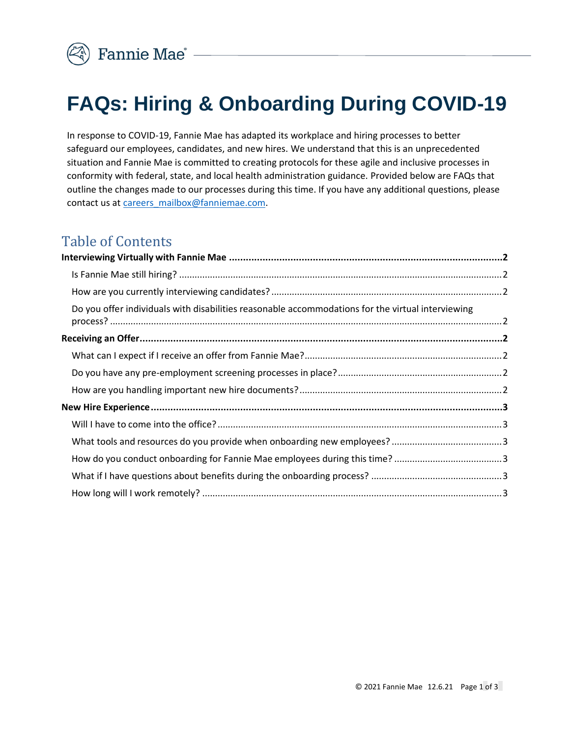

# **FAQs: Hiring & Onboarding During COVID-19**

In response to COVID-19, Fannie Mae has adapted its workplace and hiring processes to better safeguard our employees, candidates, and new hires. We understand that this is an unprecedented situation and Fannie Mae is committed to creating protocols for these agile and inclusive processes in conformity with federal, state, and local health administration guidance. Provided below are FAQs that outline the changes made to our processes during this time. If you have any additional questions, please contact us at [careers\\_mailbox@fanniemae.com.](mailto:careers_mailbox@fanniemae.com)

## Table of Contents

| Do you offer individuals with disabilities reasonable accommodations for the virtual interviewing |  |
|---------------------------------------------------------------------------------------------------|--|
|                                                                                                   |  |
|                                                                                                   |  |
|                                                                                                   |  |
|                                                                                                   |  |
|                                                                                                   |  |
|                                                                                                   |  |
|                                                                                                   |  |
|                                                                                                   |  |
|                                                                                                   |  |
|                                                                                                   |  |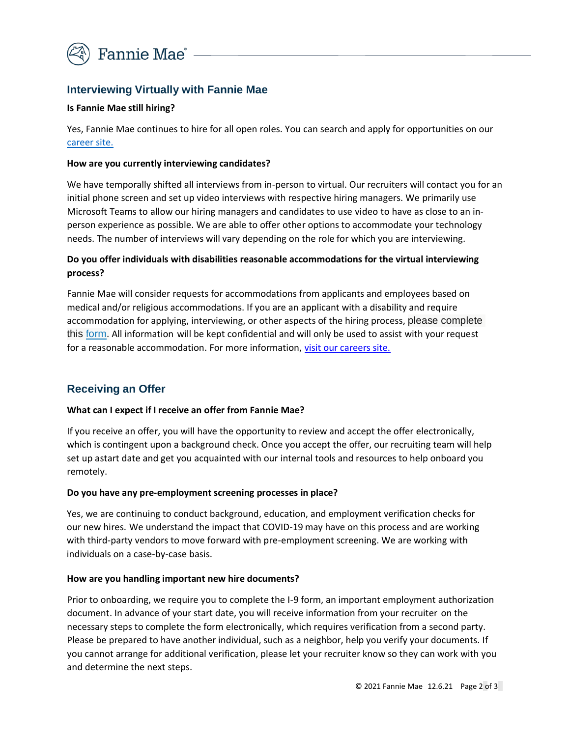

## <span id="page-1-0"></span>**Interviewing Virtually with Fannie Mae**

#### <span id="page-1-1"></span>**Is Fannie Mae still hiring?**

Yes, Fannie Mae continues to hire for all open roles. You can search and apply for opportunities on our [career](http://www.fanniemae.com/careers) site.

#### <span id="page-1-2"></span>**How are you currently interviewing candidates?**

We have temporally shifted all interviews from in-person to virtual. Our recruiters will contact you for an initial phone screen and set up video interviews with respective hiring managers. We primarily use Microsoft Teams to allow our hiring managers and candidates to use video to have as close to an inperson experience as possible. We are able to offer other options to accommodate your technology needs. The number of interviews will vary depending on the role for which you are interviewing.

### <span id="page-1-3"></span>**Do you offer individuals with disabilities reasonable accommodations for the virtual interviewing process?**

Fannie Mae will consider requests for accommodations from applicants and employees based on medical and/or religious accommodations. If you are an applicant with a disability and require accommodation for applying, interviewing, or other aspects of the hiring process, please complete this [form.](https://www.fanniemae.com/form/main-contact-form?recipient=careers_mailbox) All information will be kept confidential and will only be used to assist with your request for a reasonable accommodation. For more information, [visit our careers site.](https://www.fanniemae.com/careers/life-fannie-mae/diversity-inclusion#an-equal-opportunity-employer)

## <span id="page-1-4"></span>**Receiving an Offer**

#### <span id="page-1-5"></span>**What can I expect if I receive an offer from Fannie Mae?**

If you receive an offer, you will have the opportunity to review and accept the offer electronically, which is contingent upon a background check. Once you accept the offer, our recruiting team will help set up astart date and get you acquainted with our internal tools and resources to help onboard you remotely.

#### <span id="page-1-6"></span>**Do you have any pre-employment screening processes in place?**

Yes, we are continuing to conduct background, education, and employment verification checks for our new hires. We understand the impact that COVID-19 may have on this process and are working with third-party vendors to move forward with pre-employment screening. We are working with individuals on a case-by-case basis.

#### <span id="page-1-7"></span>**How are you handling important new hire documents?**

Prior to onboarding, we require you to complete the I-9 form, an important employment authorization document. In advance of your start date, you will receive information from your recruiter on the necessary steps to complete the form electronically, which requires verification from a second party. Please be prepared to have another individual, such as a neighbor, help you verify your documents. If you cannot arrange for additional verification, please let your recruiter know so they can work with you and determine the next steps.